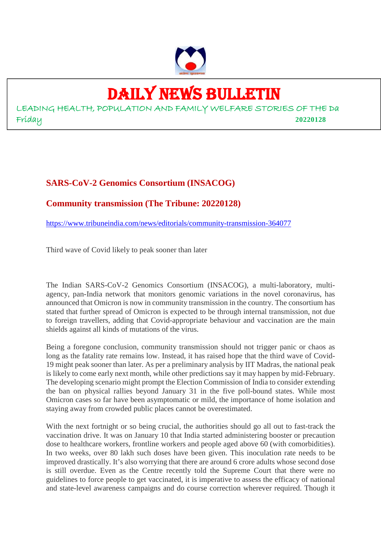

## DAILY NEWS BULLETIN

LEADING HEALTH, POPULATION AND FAMILY WELFARE STORIES OF THE Da Friday **20220128**

### **SARS-CoV-2 Genomics Consortium (INSACOG)**

### **Community transmission (The Tribune: 20220128)**

https://www.tribuneindia.com/news/editorials/community-transmission-364077

Third wave of Covid likely to peak sooner than later

The Indian SARS-CoV-2 Genomics Consortium (INSACOG), a multi-laboratory, multiagency, pan-India network that monitors genomic variations in the novel coronavirus, has announced that Omicron is now in community transmission in the country. The consortium has stated that further spread of Omicron is expected to be through internal transmission, not due to foreign travellers, adding that Covid-appropriate behaviour and vaccination are the main shields against all kinds of mutations of the virus.

Being a foregone conclusion, community transmission should not trigger panic or chaos as long as the fatality rate remains low. Instead, it has raised hope that the third wave of Covid-19 might peak sooner than later. As per a preliminary analysis by IIT Madras, the national peak is likely to come early next month, while other predictions say it may happen by mid-February. The developing scenario might prompt the Election Commission of India to consider extending the ban on physical rallies beyond January 31 in the five poll-bound states. While most Omicron cases so far have been asymptomatic or mild, the importance of home isolation and staying away from crowded public places cannot be overestimated.

With the next fortnight or so being crucial, the authorities should go all out to fast-track the vaccination drive. It was on January 10 that India started administering booster or precaution dose to healthcare workers, frontline workers and people aged above 60 (with comorbidities). In two weeks, over 80 lakh such doses have been given. This inoculation rate needs to be improved drastically. It's also worrying that there are around 6 crore adults whose second dose is still overdue. Even as the Centre recently told the Supreme Court that there were no guidelines to force people to get vaccinated, it is imperative to assess the efficacy of national and state-level awareness campaigns and do course correction wherever required. Though it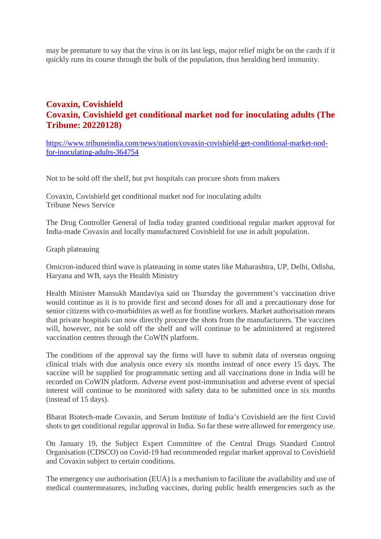may be premature to say that the virus is on its last legs, major relief might be on the cards if it quickly runs its course through the bulk of the population, thus heralding herd immunity.

### **Covaxin, Covishield Covaxin, Covishield get conditional market nod for inoculating adults (The Tribune: 20220128)**

https://www.tribuneindia.com/news/nation/covaxin-covishield-get-conditional-market-nodfor-inoculating-adults-364754

Not to be sold off the shelf, but pvt hospitals can procure shots from makers

Covaxin, Covishield get conditional market nod for inoculating adults Tribune News Service

The Drug Controller General of India today granted conditional regular market approval for India-made Covaxin and locally manufactured Covishield for use in adult population.

Graph plateauing

Omicron-induced third wave is plateauing in some states like Maharashtra, UP, Delhi, Odisha, Haryana and WB, says the Health Ministry

Health Minister Mansukh Mandaviya said on Thursday the government's vaccination drive would continue as it is to provide first and second doses for all and a precautionary dose for senior citizens with co-morbidities as well as for frontline workers. Market authorisation means that private hospitals can now directly procure the shots from the manufacturers. The vaccines will, however, not be sold off the shelf and will continue to be administered at registered vaccination centres through the CoWIN platform.

The conditions of the approval say the firms will have to submit data of overseas ongoing clinical trials with due analysis once every six months instead of once every 15 days. The vaccine will be supplied for programmatic setting and all vaccinations done in India will be recorded on CoWIN platform. Adverse event post-immunisation and adverse event of special interest will continue to be monitored with safety data to be submitted once in six months (instead of 15 days).

Bharat Biotech-made Covaxin, and Serum Institute of India's Covishield are the first Covid shots to get conditional regular approval in India. So far these were allowed for emergency use.

On January 19, the Subject Expert Committee of the Central Drugs Standard Control Organisation (CDSCO) on Covid-19 had recommended regular market approval to Covishield and Covaxin subject to certain conditions.

The emergency use authorisation (EUA) is a mechanism to facilitate the availability and use of medical countermeasures, including vaccines, during public health emergencies such as the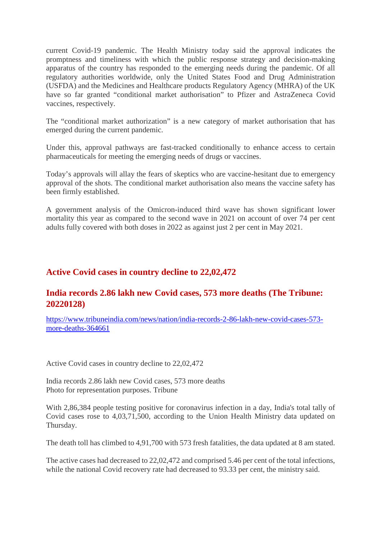current Covid-19 pandemic. The Health Ministry today said the approval indicates the promptness and timeliness with which the public response strategy and decision-making apparatus of the country has responded to the emerging needs during the pandemic. Of all regulatory authorities worldwide, only the United States Food and Drug Administration (USFDA) and the Medicines and Healthcare products Regulatory Agency (MHRA) of the UK have so far granted "conditional market authorisation" to Pfizer and AstraZeneca Covid vaccines, respectively.

The "conditional market authorization" is a new category of market authorisation that has emerged during the current pandemic.

Under this, approval pathways are fast-tracked conditionally to enhance access to certain pharmaceuticals for meeting the emerging needs of drugs or vaccines.

Today's approvals will allay the fears of skeptics who are vaccine-hesitant due to emergency approval of the shots. The conditional market authorisation also means the vaccine safety has been firmly established.

A government analysis of the Omicron-induced third wave has shown significant lower mortality this year as compared to the second wave in 2021 on account of over 74 per cent adults fully covered with both doses in 2022 as against just 2 per cent in May 2021.

### **Active Covid cases in country decline to 22,02,472**

### **India records 2.86 lakh new Covid cases, 573 more deaths (The Tribune: 20220128)**

https://www.tribuneindia.com/news/nation/india-records-2-86-lakh-new-covid-cases-573 more-deaths-364661

Active Covid cases in country decline to 22,02,472

India records 2.86 lakh new Covid cases, 573 more deaths Photo for representation purposes. Tribune

With 2,86,384 people testing positive for coronavirus infection in a day, India's total tally of Covid cases rose to 4,03,71,500, according to the Union Health Ministry data updated on Thursday.

The death toll has climbed to 4,91,700 with 573 fresh fatalities, the data updated at 8 am stated.

The active cases had decreased to 22,02,472 and comprised 5.46 per cent of the total infections, while the national Covid recovery rate had decreased to 93.33 per cent, the ministry said.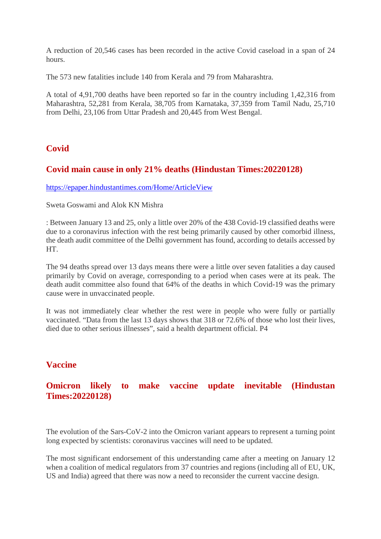A reduction of 20,546 cases has been recorded in the active Covid caseload in a span of 24 hours.

The 573 new fatalities include 140 from Kerala and 79 from Maharashtra.

A total of 4,91,700 deaths have been reported so far in the country including 1,42,316 from Maharashtra, 52,281 from Kerala, 38,705 from Karnataka, 37,359 from Tamil Nadu, 25,710 from Delhi, 23,106 from Uttar Pradesh and 20,445 from West Bengal.

### **Covid**

### **Covid main cause in only 21% deaths (Hindustan Times:20220128)**

https://epaper.hindustantimes.com/Home/ArticleView

Sweta Goswami and Alok KN Mishra

: Between January 13 and 25, only a little over 20% of the 438 Covid-19 classified deaths were due to a coronavirus infection with the rest being primarily caused by other comorbid illness, the death audit committee of the Delhi government has found, according to details accessed by HT.

The 94 deaths spread over 13 days means there were a little over seven fatalities a day caused primarily by Covid on average, corresponding to a period when cases were at its peak. The death audit committee also found that 64% of the deaths in which Covid-19 was the primary cause were in unvaccinated people.

It was not immediately clear whether the rest were in people who were fully or partially vaccinated. "Data from the last 13 days shows that 318 or 72.6% of those who lost their lives, died due to other serious illnesses", said a health department official. P4

### **Vaccine**

### **Omicron likely to make vaccine update inevitable (Hindustan Times:20220128)**

The evolution of the Sars-CoV-2 into the Omicron variant appears to represent a turning point long expected by scientists: coronavirus vaccines will need to be updated.

The most significant endorsement of this understanding came after a meeting on January 12 when a coalition of medical regulators from 37 countries and regions (including all of EU, UK, US and India) agreed that there was now a need to reconsider the current vaccine design.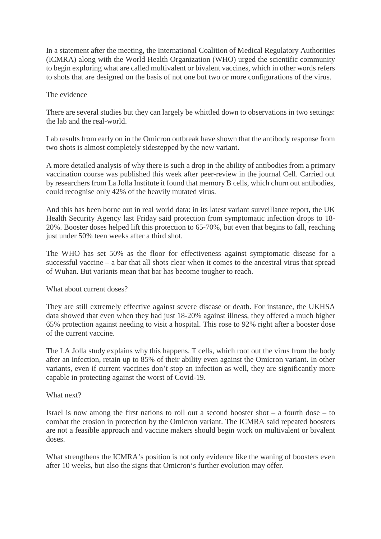In a statement after the meeting, the International Coalition of Medical Regulatory Authorities (ICMRA) along with the World Health Organization (WHO) urged the scientific community to begin exploring what are called multivalent or bivalent vaccines, which in other words refers to shots that are designed on the basis of not one but two or more configurations of the virus.

### The evidence

There are several studies but they can largely be whittled down to observations in two settings: the lab and the real-world.

Lab results from early on in the Omicron outbreak have shown that the antibody response from two shots is almost completely sidestepped by the new variant.

A more detailed analysis of why there is such a drop in the ability of antibodies from a primary vaccination course was published this week after peer-review in the journal Cell. Carried out by researchers from La Jolla Institute it found that memory B cells, which churn out antibodies, could recognise only 42% of the heavily mutated virus.

And this has been borne out in real world data: in its latest variant surveillance report, the UK Health Security Agency last Friday said protection from symptomatic infection drops to 18- 20%. Booster doses helped lift this protection to 65-70%, but even that begins to fall, reaching just under 50% teen weeks after a third shot.

The WHO has set 50% as the floor for effectiveness against symptomatic disease for a successful vaccine – a bar that all shots clear when it comes to the ancestral virus that spread of Wuhan. But variants mean that bar has become tougher to reach.

What about current doses?

They are still extremely effective against severe disease or death. For instance, the UKHSA data showed that even when they had just 18-20% against illness, they offered a much higher 65% protection against needing to visit a hospital. This rose to 92% right after a booster dose of the current vaccine.

The LA Jolla study explains why this happens. T cells, which root out the virus from the body after an infection, retain up to 85% of their ability even against the Omicron variant. In other variants, even if current vaccines don't stop an infection as well, they are significantly more capable in protecting against the worst of Covid-19.

### What next?

Israel is now among the first nations to roll out a second booster shot  $-$  a fourth dose  $-$  to combat the erosion in protection by the Omicron variant. The ICMRA said repeated boosters are not a feasible approach and vaccine makers should begin work on multivalent or bivalent doses.

What strengthens the ICMRA's position is not only evidence like the waning of boosters even after 10 weeks, but also the signs that Omicron's further evolution may offer.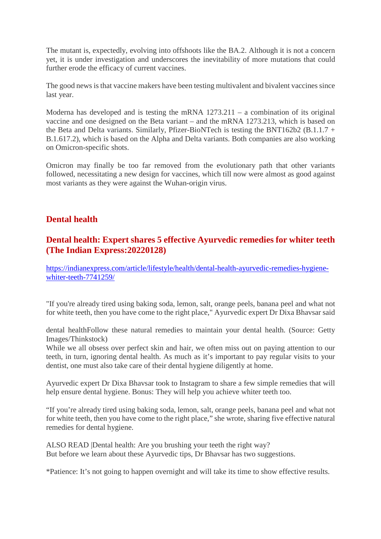The mutant is, expectedly, evolving into offshoots like the BA.2. Although it is not a concern yet, it is under investigation and underscores the inevitability of more mutations that could further erode the efficacy of current vaccines.

The good news is that vaccine makers have been testing multivalent and bivalent vaccines since last year.

Moderna has developed and is testing the mRNA 1273.211 – a combination of its original vaccine and one designed on the Beta variant – and the mRNA 1273.213, which is based on the Beta and Delta variants. Similarly, Pfizer-BioNTech is testing the BNT162b2 (B.1.1.7 + B.1.617.2), which is based on the Alpha and Delta variants. Both companies are also working on Omicron-specific shots.

Omicron may finally be too far removed from the evolutionary path that other variants followed, necessitating a new design for vaccines, which till now were almost as good against most variants as they were against the Wuhan-origin virus.

### **Dental health**

### **Dental health: Expert shares 5 effective Ayurvedic remedies for whiter teeth (The Indian Express:20220128)**

https://indianexpress.com/article/lifestyle/health/dental-health-ayurvedic-remedies-hygienewhiter-teeth-7741259/

"If you're already tired using baking soda, lemon, salt, orange peels, banana peel and what not for white teeth, then you have come to the right place," Ayurvedic expert Dr Dixa Bhavsar said

dental healthFollow these natural remedies to maintain your dental health. (Source: Getty Images/Thinkstock)

While we all obsess over perfect skin and hair, we often miss out on paying attention to our teeth, in turn, ignoring dental health. As much as it's important to pay regular visits to your dentist, one must also take care of their dental hygiene diligently at home.

Ayurvedic expert Dr Dixa Bhavsar took to Instagram to share a few simple remedies that will help ensure dental hygiene. Bonus: They will help you achieve whiter teeth too.

"If you're already tired using baking soda, lemon, salt, orange peels, banana peel and what not for white teeth, then you have come to the right place," she wrote, sharing five effective natural remedies for dental hygiene.

ALSO READ |Dental health: Are you brushing your teeth the right way? But before we learn about these Ayurvedic tips, Dr Bhavsar has two suggestions.

\*Patience: It's not going to happen overnight and will take its time to show effective results.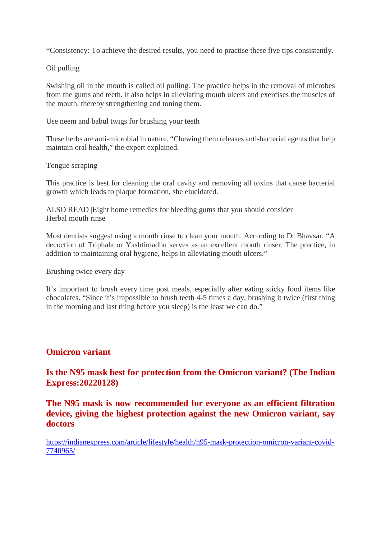\*Consistency: To achieve the desired results, you need to practise these five tips consistently.

Oil pulling

Swishing oil in the mouth is called oil pulling. The practice helps in the removal of microbes from the gums and teeth. It also helps in alleviating mouth ulcers and exercises the muscles of the mouth, thereby strengthening and toning them.

Use neem and babul twigs for brushing your teeth

These herbs are anti-microbial in nature. "Chewing them releases anti-bacterial agents that help maintain oral health," the expert explained.

Tongue scraping

This practice is best for cleaning the oral cavity and removing all toxins that cause bacterial growth which leads to plaque formation, she elucidated.

ALSO READ |Eight home remedies for bleeding gums that you should consider Herbal mouth rinse

Most dentists suggest using a mouth rinse to clean your mouth. According to Dr Bhavsar, "A decoction of Triphala or Yashtimadhu serves as an excellent mouth rinser. The practice, in addition to maintaining oral hygiene, helps in alleviating mouth ulcers."

Brushing twice every day

It's important to brush every time post meals, especially after eating sticky food items like chocolates. "Since it's impossible to brush teeth 4-5 times a day, brushing it twice (first thing in the morning and last thing before you sleep) is the least we can do."

### **Omicron variant**

**Is the N95 mask best for protection from the Omicron variant? (The Indian Express:20220128)**

**The N95 mask is now recommended for everyone as an efficient filtration device, giving the highest protection against the new Omicron variant, say doctors**

https://indianexpress.com/article/lifestyle/health/n95-mask-protection-omicron-variant-covid-7740965/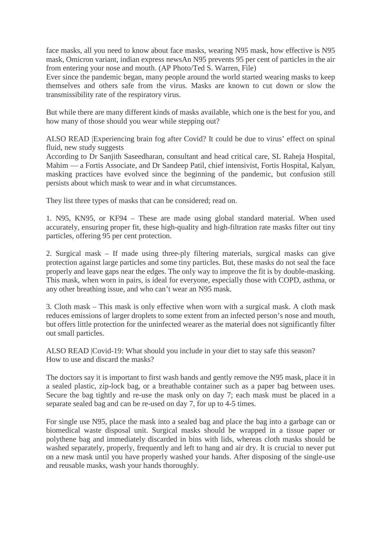face masks, all you need to know about face masks, wearing N95 mask, how effective is N95 mask, Omicron variant, indian express newsAn N95 prevents 95 per cent of particles in the air from entering your nose and mouth. (AP Photo/Ted S. Warren, File)

Ever since the pandemic began, many people around the world started wearing masks to keep themselves and others safe from the virus. Masks are known to cut down or slow the transmissibility rate of the respiratory virus.

But while there are many different kinds of masks available, which one is the best for you, and how many of those should you wear while stepping out?

ALSO READ |Experiencing brain fog after Covid? It could be due to virus' effect on spinal fluid, new study suggests

According to Dr Sanjith Saseedharan, consultant and head critical care, SL Raheja Hospital, Mahim — a Fortis Associate, and Dr Sandeep Patil, chief intensivist, Fortis Hospital, Kalyan, masking practices have evolved since the beginning of the pandemic, but confusion still persists about which mask to wear and in what circumstances.

They list three types of masks that can be considered; read on.

1. N95, KN95, or KF94 – These are made using global standard material. When used accurately, ensuring proper fit, these high-quality and high-filtration rate masks filter out tiny particles, offering 95 per cent protection.

2. Surgical mask – If made using three-ply filtering materials, surgical masks can give protection against large particles and some tiny particles. But, these masks do not seal the face properly and leave gaps near the edges. The only way to improve the fit is by double-masking. This mask, when worn in pairs, is ideal for everyone, especially those with COPD, asthma, or any other breathing issue, and who can't wear an N95 mask.

3. Cloth mask – This mask is only effective when worn with a surgical mask. A cloth mask reduces emissions of larger droplets to some extent from an infected person's nose and mouth, but offers little protection for the uninfected wearer as the material does not significantly filter out small particles.

ALSO READ |Covid-19: What should you include in your diet to stay safe this season? How to use and discard the masks?

The doctors say it is important to first wash hands and gently remove the N95 mask, place it in a sealed plastic, zip-lock bag, or a breathable container such as a paper bag between uses. Secure the bag tightly and re-use the mask only on day 7; each mask must be placed in a separate sealed bag and can be re-used on day 7, for up to 4-5 times.

For single use N95, place the mask into a sealed bag and place the bag into a garbage can or biomedical waste disposal unit. Surgical masks should be wrapped in a tissue paper or polythene bag and immediately discarded in bins with lids, whereas cloth masks should be washed separately, properly, frequently and left to hang and air dry. It is crucial to never put on a new mask until you have properly washed your hands. After disposing of the single-use and reusable masks, wash your hands thoroughly.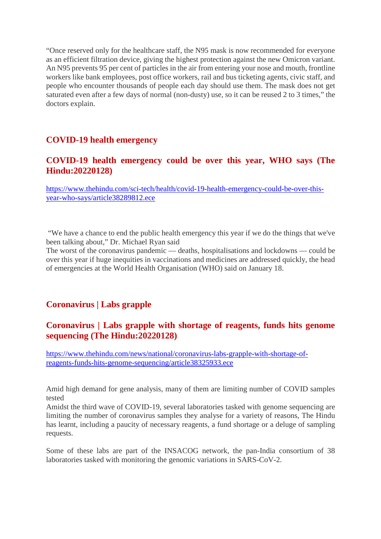"Once reserved only for the healthcare staff, the N95 mask is now recommended for everyone as an efficient filtration device, giving the highest protection against the new Omicron variant. An N95 prevents 95 per cent of particles in the air from entering your nose and mouth, frontline workers like bank employees, post office workers, rail and bus ticketing agents, civic staff, and people who encounter thousands of people each day should use them. The mask does not get saturated even after a few days of normal (non-dusty) use, so it can be reused 2 to 3 times," the doctors explain.

### **COVID-19 health emergency**

### **COVID-19 health emergency could be over this year, WHO says (The Hindu:20220128)**

https://www.thehindu.com/sci-tech/health/covid-19-health-emergency-could-be-over-thisyear-who-says/article38289812.ece

"We have a chance to end the public health emergency this year if we do the things that we've been talking about," Dr. Michael Ryan said

The worst of the coronavirus pandemic — deaths, hospitalisations and lockdowns — could be over this year if huge inequities in vaccinations and medicines are addressed quickly, the head of emergencies at the World Health Organisation (WHO) said on January 18.

### **Coronavirus | Labs grapple**

### **Coronavirus | Labs grapple with shortage of reagents, funds hits genome sequencing (The Hindu:20220128)**

https://www.thehindu.com/news/national/coronavirus-labs-grapple-with-shortage-ofreagents-funds-hits-genome-sequencing/article38325933.ece

Amid high demand for gene analysis, many of them are limiting number of COVID samples tested

Amidst the third wave of COVID-19, several laboratories tasked with genome sequencing are limiting the number of coronavirus samples they analyse for a variety of reasons, The Hindu has learnt, including a paucity of necessary reagents, a fund shortage or a deluge of sampling requests.

Some of these labs are part of the INSACOG network, the pan-India consortium of 38 laboratories tasked with monitoring the genomic variations in SARS-CoV-2.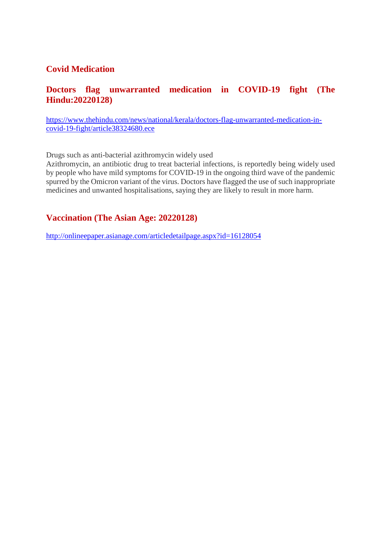### **Covid Medication**

### **Doctors flag unwarranted medication in COVID-19 fight (The Hindu:20220128)**

https://www.thehindu.com/news/national/kerala/doctors-flag-unwarranted-medication-incovid-19-fight/article38324680.ece

Drugs such as anti-bacterial azithromycin widely used

Azithromycin, an antibiotic drug to treat bacterial infections, is reportedly being widely used by people who have mild symptoms for COVID-19 in the ongoing third wave of the pandemic spurred by the Omicron variant of the virus. Doctors have flagged the use of such inappropriate medicines and unwanted hospitalisations, saying they are likely to result in more harm.

### **Vaccination (The Asian Age: 20220128)**

http://onlineepaper.asianage.com/articledetailpage.aspx?id=16128054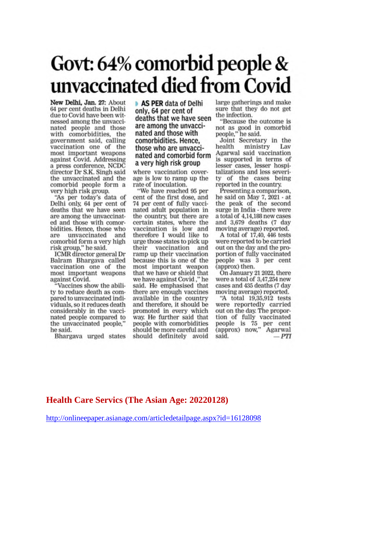## Govt: 64% comorbid people & unvaccinated died from Covid

New Delhi, Jan. 27: About 64 per cent deaths in Delhi due to Covid have been witnessed among the unvaccinated people and those with comorbidities, the government said, calling vaccination one of the most important weapons against Covid. Addressing a press conference, NCDC director Dr S.K. Singh said the unvaccinated and the comorbid people form a very high risk group.

"As per today's data of Delhi only, 64 per cent of deaths that we have seen are among the unvaccinated and those with comorbidities. Hence, those who are unvaccinated and comorbid form a very high risk group," he said.

ICMR director general Dr Balram Bhargaya called vaccination one of the most important weapons against Covid.

"Vaccines show the ability to reduce death as compared to unvaccinated individuals, so it reduces death considerably in the vaccinated people compared to the unvaccinated people," he said.

Bhargava urged states

AS PER data of Delhi only, 64 per cent of deaths that we have seen are among the unvaccinated and those with comorbidities. Hence, those who are unvaccinated and comorbid form a very high risk group

where vaccination coverage is low to ramp up the rate of inoculation.

"We have reached 95 per cent of the first dose, and 74 per cent of fully vaccinated adult population in the country, but there are certain states, where the<br>vaccination is low and therefore I would like to urge those states to pick up vaccination and their ramp up their vaccination because this is one of the most important weapon that we have or shield that we have against Covid," he said. He emphasised that there are enough vaccines available in the country and therefore, it should be promoted in every which way. He further said that people with comorbidities should be more careful and should definitely avoid

large gatherings and make sure that they do not get the infection.

"Because the outcome is not as good in comorbid<br>people," he said.

Joint Secretary in the health ministry Lav Agarwal said vaccination is supported in terms of lesser cases, lesser hospitalizations and less severity of the cases being reported in the country.

Presenting a comparison, he said on May 7, 2021 - at the peak of the second surge in India - there were a total of 4,14,188 new cases and 3,679 deaths (7 day moving average) reported.

A total of 17.40, 446 tests were reported to be carried out on the day and the proportion of fully vaccinated people was 3 per cent (approx) then.

On January 21 2022, there were a total of 3,47,254 new cases and 435 deaths (7 day moving average) reported.

"A total 19,35,912 tests were reportedly carried out on the day. The proportion of fully vaccinated people is 75 per cent<br>(approx) now," Agarwal said.  $-PTI$ 

### **Health Care Servics (The Asian Age: 20220128)**

http://onlineepaper.asianage.com/articledetailpage.aspx?id=16128098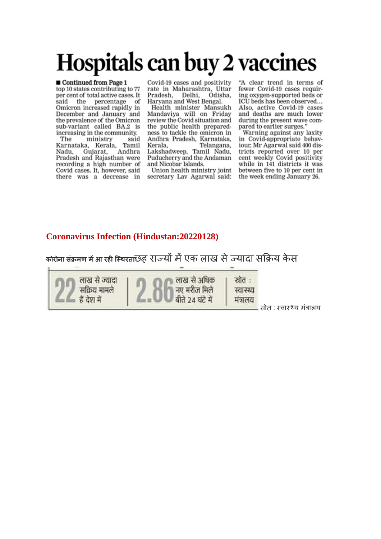# Hospitals can buy 2 vaccines

#### Continued from Page 1

top 10 states contributing to 77 per cent of total active cases. It said the percentage of Omicron increased rapidly in December and January and the prevalence of the Omicron sub-variant called BA.2 is increasing in the community.

ministry said The Tamil Karnataka, Kerala, Andhra Gujarat, Nadu. Pradesh and Rajasthan were recording a high number of Covid cases. It, however, said there was a decrease in

Covid-19 cases and positivity rate in Maharashtra, Uttar Pradesh, Delhi, Odisha, Haryana and West Bengal.

Health minister Mansukh Mandaviya will on Friday review the Covid situation and the public health preparedness to tackle the omicron in Andhra Pradesh, Karnataka, Kerala. Telangana, Lakshadweep, Tamil Nadu, Puducherry and the Andaman and Nicobar Islands.

Union health ministry joint secretary Lav Agarwal said: "A clear trend in terms of fewer Covid-19 cases requiring oxygen-supported beds or ICU beds has been observed... Also, active Covid-19 cases and deaths are much lower during the present wave compared to earlier surges.

Warning against any laxity in Covid-appropriate behaviour, Mr Agarwal said 400 districts reported over 10 per cent weekly Covid positivity while in 141 districts it was between five to 10 per cent in the week ending January 26.

### **Coronavirus Infection (Hindustan:20220128)**

कोरोना संक्रमण में आ रही स्थिरताछह राज्यों में एक लाख से ज्यादा सक्रिय केस

लाख से ज्यादा सक्रिय मामले हैं टेश में

लाख से अधिक नए मरीज मिले बीते 24 घंटे में

स्रोत: स्वास्थ्य मंत्रालय

. स्रोत : स्वास्थ्य मंत्रालय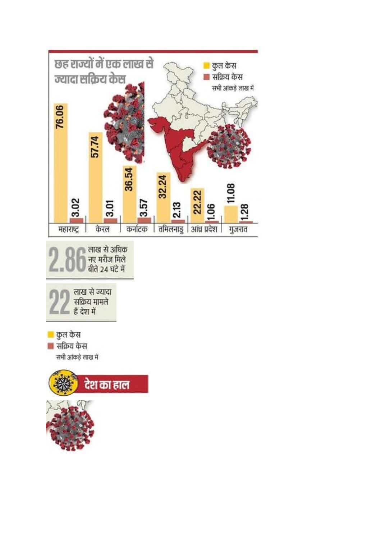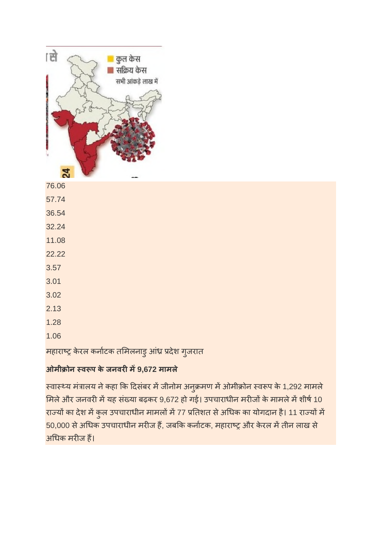

76.06 57.74 36.54 32.24 11.08 22.22 3.57 3.01 3.02 2.13 1.28 1.06

महाराष्ट्र केरल कर्नाटक तमिलनाडु आंध्र प्रदेश गुजरात

### **ओमी ोन व प के जनवरम9,672 मामले**

स्वास्थ्य मंत्रालय ने कहा कि दिसंबर में जीनोम अनुक्रमण में ओमीक्रोन स्वरूप के 1,292 मामले मिले और जनवरी में यह संख्या बढ़कर 9,672 हो गई। उपचाराधीन मरीजों के मामले में शीर्ष 10 राज्यों का देश में कुल उपचाराधीन मामलों में 77 प्रतिशत से अधिक का योगदान है। 11 राज्यों में 50,000 से अधिक उपचाराधीन मरीज हैं, जबकि कर्नाटक, महाराष्ट्र और केरल में तीन लाख से अधक मरज ह।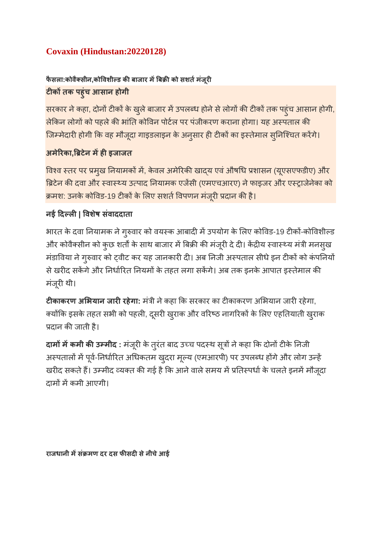### **Covaxin (Hindustan:20220128)**

### **फैसला:कोवैसीन,कोवशीड कबाजार मब को सशतमजं ूर टकतक पहुंच आसान होगी**

सरकार ने कहा, दोनों टीकों के खुले बाजार में उपलब्ध होने से लोगों की टीकों तक पहुंच आसान होगी, लेकिन लोगों को पहले की भांति कोविन पोर्टल पर पंजीकरण कराना होगा। यह अस्पताल की जिम्मेदारी होगी कि वह मौजूदा गाइडलाइन के अनुसार ही टीकों का इस्तेमाल सुनिश्चित करेंगे।

### **अमेरका,टेन महइजाजत**

विश्व स्तर पर प्रमुख नियामकों में, केवल अमेरिकी खाद्य एवं औषधि प्रशासन (यूएसएफडीए) और ब्रिटेन की दवा और स्वास्थ्य उत्पाद नियामक एजेंसी (एमएचआरए) ने फाइजर और एस्ट्राजेनेका को क्रमश: उनके कोविड-19 टीकों के लिए सशर्त विपणन मंजूरी प्रदान की है।

### **नई दल| वशषे संवाददाता**

भारत के दवा नियामक ने गुरुवार को वयस्क आबादी में उपयोग के लिए कोविड-19 टीकों-कोविशील्ड और कोवैक्सीन को कुछ शर्तों के साथ बाजार में बिक्री की मंजूरी दे दी। केंद्रीय स्वास्थ्य मंत्री मनसुख मंडाविया ने गुरुवार को ट्वीट कर यह जानकारी दी। अब निजी अस्पताल सीधे इन टीकों को कंपनियों से खरीद सकेंगे और निर्धारित नियमों के तहत लगा सकेंगे। अब तक इनके आपात इस्तेमाल की मंजूरी थी।

**टीकाकरण अभियान जारी रहेगा:** मंत्री ने कहा कि सरकार का टीकाकरण अभियान जारी रहेगा, क्योंकि इसके तहत सभी को पहली, दूसरी खुराक और वरिष्ठ नागरिकों के लिए एहतियाती खुराक प्रदान की जाती है।

**दामों में कमी की उम्मीद** : मंजूरी के तुरंत बाद उच्च पदस्थ सूत्रों ने कहा कि दोनों टीके निजी अस्पतालों में पूर्व-निर्धारित अधिकतम खुदरा मूल्य (एमआरपी) पर उपलब्ध होंगे और लोग उन्हें खरीद सकते हैं। उम्मीद व्यक्त की गई है कि आने वाले समय में प्रतिस्पर्धा के चलते इनमें मौजूदा दामों में कमी आएगी।

**राजधानी मसं मण दर दस फसदसेनीचेआई**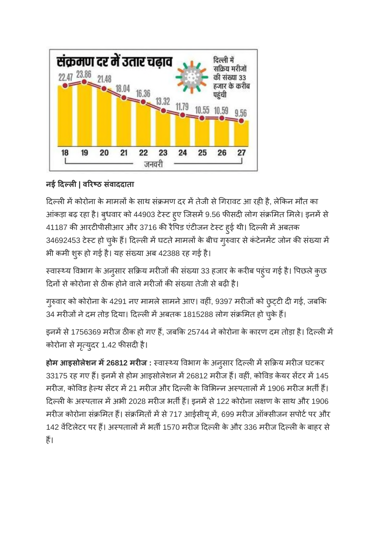

### **नई दल| वरठ संवाददाता**

दिल्ली में कोरोना के मामलों के साथ संक्रमण दर में तेजी से गिरावट आ रही है, लेकिन मौत का आंकड़ा बढ़ रहा है। बुधवार को 44903 टेस्ट हुए जिसमें 9.56 फीसदी लोग संक्रमित मिले। इनमें से 41187 की आरटीपीसीआर और 3716 की रैपिड एंटीजन टेस्ट हुई थी। दिल्ली में अबतक 34692453 टेस्ट हो चुके हैं। दिल्ली में घटते मामलों के बीच गुरुवार से कंटेनमेंट जोन की संख्या में भी कमी शुरू हो गई है। यह संख्या अब 42388 रह गई है।

स्वास्थ्य विभाग के अनुसार सक्रिय मरीजों की संख्या 33 हजार के करीब पहुंच गई है। पिछले कुछ दिनों से कोरोना से ठीक होने वाले मरीजों की संख्या तेजी से बढी है।

गुरुवार को कोरोना के 4291 नए मामले सामने आए। वहीं, 9397 मरीजों को छुट्टी दी गई, जबकि 34 मरीजों ने दम तोड़ दिया। दिल्ली में अबतक 1815288 लोग संक्रमित हो चुके हैं।

इनमें से 1756369 मरीज ठीक हो गए हैं, जबकि 25744 ने कोरोना के कारण दम तोड़ा है। दिल्ली में कोरोना से मृत्युदर 1.42 फीसदी है।

**होम आइसोलेशन म26812 मरज :** वाय वभाग के अनुसार दलमस य मरज घटकर 33175 रह गए हैं। इनमें से होम आइसोलेशन में 26812 मरीज हैं। वहीं, कोविड केयर सेंटर में 145 मरीज, कोविड हेल्थ सेंटर में 21 मरीज और दिल्ली के विभिन्न अस्पतालों में 1906 मरीज भर्ती हैं। दिल्ली के अस्पताल में अभी 2028 मरीज भर्ती हैं। इनमें से 122 कोरोना लक्षण के साथ और 1906 मरीज कोरोना संक्रमित हैं। संक्रमितों में से 717 आईसीयू में, 699 मरीज ऑक्सीजन सपोर्ट पर और 142 वेंटिलेटर पर हैं। अस्पतालों में भर्ती 1570 मरीज दिल्ली के और 336 मरीज दिल्ली के बाहर से ह।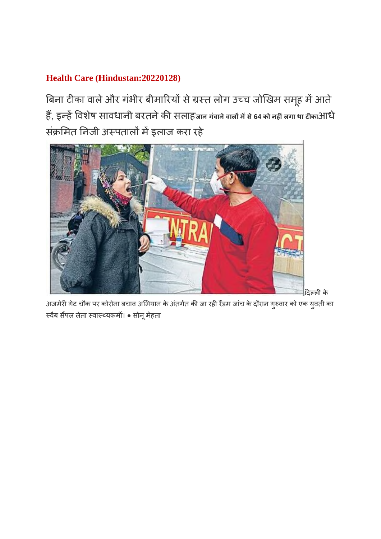### **Health Care (Hindustan:20220128)**

बिना टीका वाले और गंभीर बीमारियों से ग्रस्त लोग उच्च जोखिम समूह में आते. ह, इहवशषे सावधानी बरतनेकसलाह**जान गंवानेवालमसे<sup>64</sup> को नहंलगा था टका**आधे संक्रमित निजी अस्पतालों में इलाज करा रहे



अजमेरी गेट चौक पर कोरोना बचाव अभियान के अंतर्गत की जा रही रैंडम जांच के दौरान गुरुवार को एक युवती का स्वैब सैंपल लेता स्वास्थ्यकर्मी। ● सोनू मेहता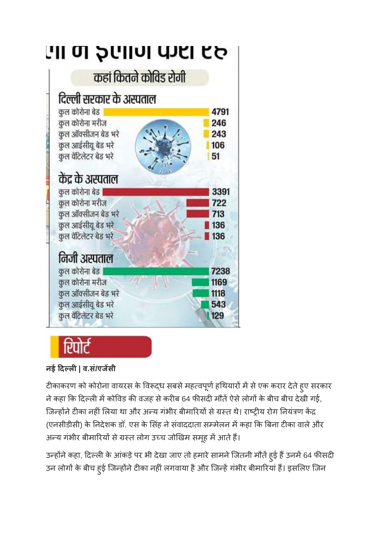

### **नई दल| व.सं/एजसी**

टीकाकरण को कोरोना वायरस के विरूद्ध सबसे महत्वपूर्ण हथियारों में से एक करार देते हुए सरकार ने कहा कि दिल्ली में कोविड की वजह से करीब 64 फीसदी मौतें ऐसे लोगों के बीच बीच देखी गई, जिन्होंने टीका नहीं लिया था और अन्य गंभीर बीमारियों से ग्रस्त थे। राष्ट्रीय रोग नियंत्रण केंद्र (एनसीडीसी) के निदेशक डॉ. एस के सिंह ने संवाददाता सम्मेलन में कहा कि बिना टीका वाले और अन्य गंभीर बीमारियों से ग्रस्त लोग उच्च जोखिम समूह में आते हैं।

उन्होंने कहा, दिल्ली के आंकड़े पर भी देखा जाए तो हमारे सामने जितनी मौतें हुई हैं उनमें 64 फीसदी उन लोगों के बीच हुई जिन्होंने टीका नहीं लगवाया है और जिन्हें गंभीर बीमारियां हैं। इसलिए जिन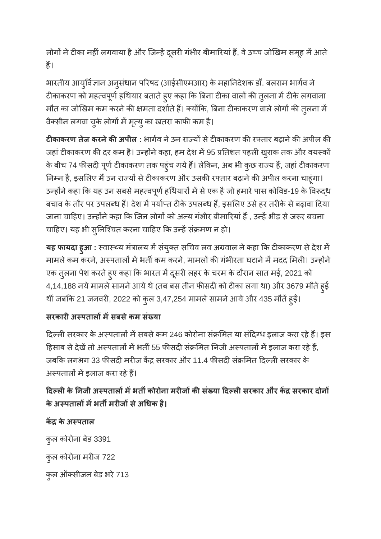लोगों ने टीका नहीं लगवाया है और जिन्हें दूसरी गंभीर बीमारियां हैं, वे उच्च जोखिम समूह में आते ह।

भारतीय आयुर्विज्ञान अनुसंधान परिषद (आईसीएमआर) के महानिदेशक डॉ. बलराम भार्गव ने टीकाकरण को महत्वपूर्ण हथियार बताते हुए कहा कि बिना टीका वालों की तुलना में टीके लगवाना मौत का जोखिम कम करने की क्षमता दर्शाते हैं। क्योंकि, बिना टीकाकरण वाले लोगों की तुलना में वैक्सीन लगवा चुके लोगों में मृत्यु का खतरा काफी कम है।

**टीकाकरण तेज करने की अपील** : भार्गव ने उन राज्यों से टीकाकरण की रफ्तार बढ़ाने की अपील की जहां टीकाकरण की दर कम है। उन्होंने कहा, हम देश में 95 प्रतिशत पहली खुराक तक और वयस्कों के बीच 74 फीसदी पूर्ण टीकाकरण तक पहुंच गये हैं। लेकिन, अब भी कुछ राज्य हैं, जहां टीकाकरण निम्न है, इसलिए मैं उन राज्यों से टीकाकरण और उसकी रफ्तार बढ़ाने की अपील करना चाहूंगा। उन्होंने कहा कि यह उन सबसे महत्वपूर्ण हथियारों में से एक है जो हमारे पास कोविड-19 के विरूद्ध बचाव के तौर पर उपलब्ध हैं। देश में पर्याप्त टीके उपलब्ध हैं, इसलिए उसे हर तरीके से बढ़ावा दिया जाना चाहिए। उन्होंने कहा कि जिन लोगों को अन्य गंभीर बीमारियां हैं , उन्हें भीड़ से जरूर बचना चाहिए। यह भी सुनिश्चित करना चाहिए कि उन्हें संक्रमण न हो।

**यह फायदा हुआ** : स्वास्थ्य मंत्रालय में संयुक्त सचिव लव अग्रवाल ने कहा कि टीकाकरण से देश में मामले कम करने, अस्पतालों में भर्ती कम करने, मामलों की गंभीरता घटाने में मदद मिली। उन्होंने एक तुलना पेश करते हुए कहा कि भारत में दूसरी लहर के चरम के दौरान सात मई, 2021 को 4,14,188 नये मामले सामने आये थे (तब बस तीन फीसदी को टीका लगा था) और 3679 मौतें हुई थीं जबकि 21 जनवरी, 2022 को कुल 3,47,254 मामले सामने आये और 435 मौतें हुई।

### **सरकारअपतालमसबसेकम सं या**

दिल्ली सरकार के अस्पतालों में सबसे कम 246 कोरोना संक्रमित या संदिग्ध इलाज करा रहे हैं। इस हिसाब से देखें तो अस्पतालों में भर्ती 55 फीसदी संक्रमित निजी अस्पतालों में इलाज करा रहे हैं, जबकि लगभग 33 फीसदी मरीज केंद्र सरकार और 11.4 फीसदी संक्रमित दिल्ली सरकार के अस्पतालों में इलाज करा रहे हैं।

### **दलके नजी अपतालमभतकोरोना मरजकसं या दलसरकार और क सरकार दोन के अपतालमभतमरजसेअधक है।**

**क के अपताल**

कुल कोरोना बेड 3391 कुल कोरोना मरीज 722 कुल ऑक्सीजन बेड भरे 713